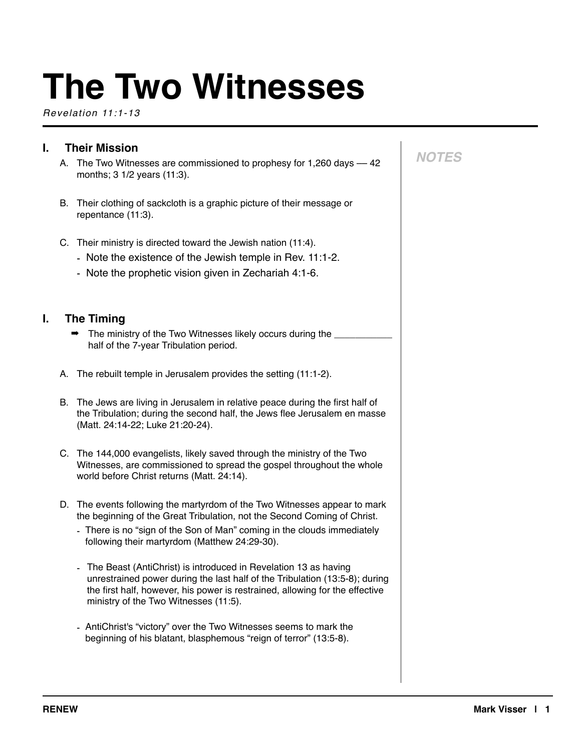# **The Two Witnesses**

*Revelation 11:1-13*

| I. | <b>Their Mission</b> |                                                                                                                                                                                                                                                                                                                                                        |  |
|----|----------------------|--------------------------------------------------------------------------------------------------------------------------------------------------------------------------------------------------------------------------------------------------------------------------------------------------------------------------------------------------------|--|
|    | А.                   | The Two Witnesses are commissioned to prophesy for 1,260 days - 42<br>months; 3 1/2 years (11:3).                                                                                                                                                                                                                                                      |  |
|    | В.                   | Their clothing of sackcloth is a graphic picture of their message or<br>repentance (11:3).                                                                                                                                                                                                                                                             |  |
|    |                      | C. Their ministry is directed toward the Jewish nation (11:4).<br>- Note the existence of the Jewish temple in Rev. 11:1-2.<br>- Note the prophetic vision given in Zechariah 4:1-6.                                                                                                                                                                   |  |
| L. |                      | <b>The Timing</b><br>The ministry of the Two Witnesses likely occurs during the ___<br>half of the 7-year Tribulation period.                                                                                                                                                                                                                          |  |
|    |                      | A. The rebuilt temple in Jerusalem provides the setting (11:1-2).                                                                                                                                                                                                                                                                                      |  |
|    | В.                   | The Jews are living in Jerusalem in relative peace during the first half of<br>the Tribulation; during the second half, the Jews flee Jerusalem en masse<br>(Matt. 24:14-22; Luke 21:20-24).                                                                                                                                                           |  |
|    |                      | C. The 144,000 evangelists, likely saved through the ministry of the Two<br>Witnesses, are commissioned to spread the gospel throughout the whole<br>world before Christ returns (Matt. 24:14).                                                                                                                                                        |  |
|    |                      | D. The events following the martyrdom of the Two Witnesses appear to mark<br>the beginning of the Great Tribulation, not the Second Coming of Christ.<br>- There is no "sign of the Son of Man" coming in the clouds immediately<br>following their martyrdom (Matthew 24:29-30).<br>- The Beast (AntiChrist) is introduced in Revelation 13 as having |  |
|    |                      | unrestrained power during the last half of the Tribulation (13:5-8); during<br>the first half, however, his power is restrained, allowing for the effective<br>ministry of the Two Witnesses (11:5).                                                                                                                                                   |  |
|    |                      | - AntiChrist's "victory" over the Two Witnesses seems to mark the<br>beginning of his blatant, blasphemous "reign of terror" (13:5-8).                                                                                                                                                                                                                 |  |
|    |                      |                                                                                                                                                                                                                                                                                                                                                        |  |

*NOTES*

 $\mathbf{r}$